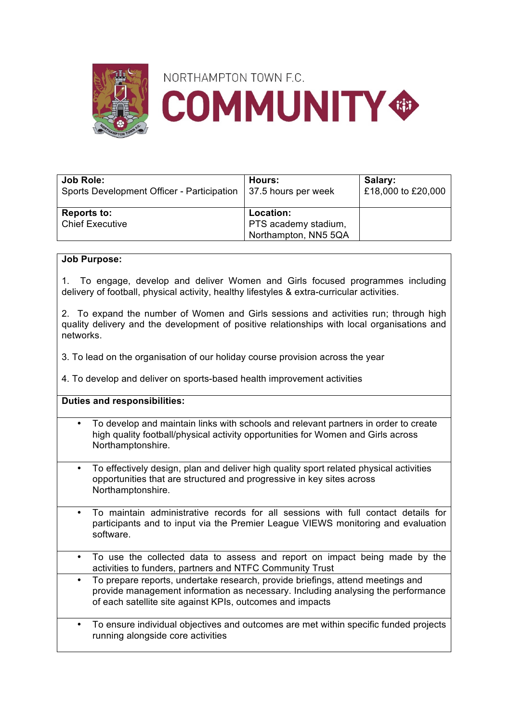

| <b>Job Role:</b><br>Sports Development Officer - Participation   37.5 hours per week | Hours:               | Salary:<br>£18,000 to £20,000 |
|--------------------------------------------------------------------------------------|----------------------|-------------------------------|
| <b>Reports to:</b>                                                                   | Location:            |                               |
| <b>Chief Executive</b>                                                               | PTS academy stadium, |                               |
|                                                                                      | Northampton, NN5 5QA |                               |

## **Job Purpose:**

1. To engage, develop and deliver Women and Girls focused programmes including delivery of football, physical activity, healthy lifestyles & extra-curricular activities.

2. To expand the number of Women and Girls sessions and activities run; through high quality delivery and the development of positive relationships with local organisations and networks.

3. To lead on the organisation of our holiday course provision across the year

4. To develop and deliver on sports-based health improvement activities

## **Duties and responsibilities:**

- To develop and maintain links with schools and relevant partners in order to create high quality football/physical activity opportunities for Women and Girls across Northamptonshire.
- To effectively design, plan and deliver high quality sport related physical activities opportunities that are structured and progressive in key sites across Northamptonshire.
- To maintain administrative records for all sessions with full contact details for participants and to input via the Premier League VIEWS monitoring and evaluation software.
- To use the collected data to assess and report on impact being made by the activities to funders, partners and NTFC Community Trust
- To prepare reports, undertake research, provide briefings, attend meetings and provide management information as necessary. Including analysing the performance of each satellite site against KPIs, outcomes and impacts
- To ensure individual objectives and outcomes are met within specific funded projects running alongside core activities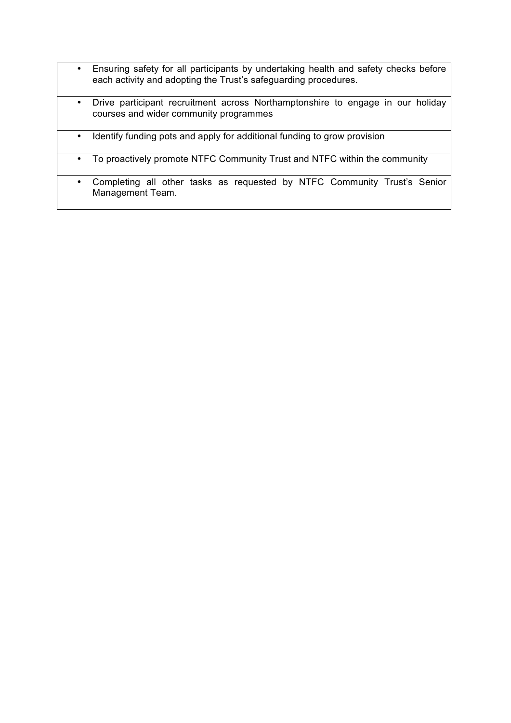- Ensuring safety for all participants by undertaking health and safety checks before each activity and adopting the Trust's safeguarding procedures.
- Drive participant recruitment across Northamptonshire to engage in our holiday courses and wider community programmes
- Identify funding pots and apply for additional funding to grow provision
- To proactively promote NTFC Community Trust and NTFC within the community
- Completing all other tasks as requested by NTFC Community Trust's Senior Management Team.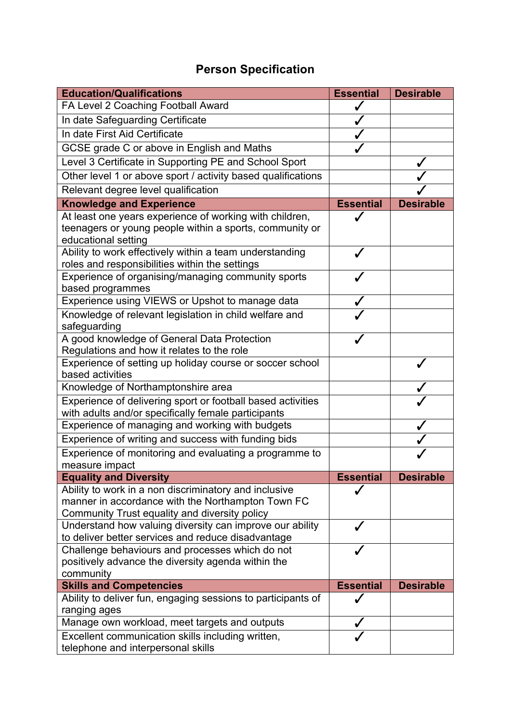## **Person Specification**

| <b>Education/Qualifications</b>                                                                                                                             | <b>Essential</b> | <b>Desirable</b> |
|-------------------------------------------------------------------------------------------------------------------------------------------------------------|------------------|------------------|
| FA Level 2 Coaching Football Award                                                                                                                          |                  |                  |
| In date Safeguarding Certificate                                                                                                                            |                  |                  |
| In date First Aid Certificate                                                                                                                               |                  |                  |
| GCSE grade C or above in English and Maths                                                                                                                  |                  |                  |
| Level 3 Certificate in Supporting PE and School Sport                                                                                                       |                  |                  |
| Other level 1 or above sport / activity based qualifications                                                                                                |                  |                  |
| Relevant degree level qualification                                                                                                                         |                  |                  |
| <b>Knowledge and Experience</b>                                                                                                                             | <b>Essential</b> | <b>Desirable</b> |
| At least one years experience of working with children,<br>teenagers or young people within a sports, community or<br>educational setting                   |                  |                  |
| Ability to work effectively within a team understanding<br>roles and responsibilities within the settings                                                   |                  |                  |
| Experience of organising/managing community sports<br>based programmes                                                                                      |                  |                  |
| Experience using VIEWS or Upshot to manage data                                                                                                             |                  |                  |
| Knowledge of relevant legislation in child welfare and<br>safeguarding                                                                                      |                  |                  |
| A good knowledge of General Data Protection<br>Regulations and how it relates to the role                                                                   |                  |                  |
| Experience of setting up holiday course or soccer school<br>based activities                                                                                |                  |                  |
| Knowledge of Northamptonshire area                                                                                                                          |                  |                  |
| Experience of delivering sport or football based activities<br>with adults and/or specifically female participants                                          |                  |                  |
| Experience of managing and working with budgets                                                                                                             |                  |                  |
| Experience of writing and success with funding bids                                                                                                         |                  |                  |
| Experience of monitoring and evaluating a programme to<br>measure impact                                                                                    |                  |                  |
| <b>Equality and Diversity</b>                                                                                                                               | <b>Essential</b> | <b>Desirable</b> |
| Ability to work in a non discriminatory and inclusive<br>manner in accordance with the Northampton Town FC<br>Community Trust equality and diversity policy |                  |                  |
| Understand how valuing diversity can improve our ability<br>to deliver better services and reduce disadvantage                                              | J                |                  |
| Challenge behaviours and processes which do not<br>positively advance the diversity agenda within the<br>community                                          |                  |                  |
| <b>Skills and Competencies</b>                                                                                                                              | <b>Essential</b> | <b>Desirable</b> |
| Ability to deliver fun, engaging sessions to participants of<br>ranging ages                                                                                |                  |                  |
| Manage own workload, meet targets and outputs                                                                                                               |                  |                  |
| Excellent communication skills including written,<br>telephone and interpersonal skills                                                                     |                  |                  |